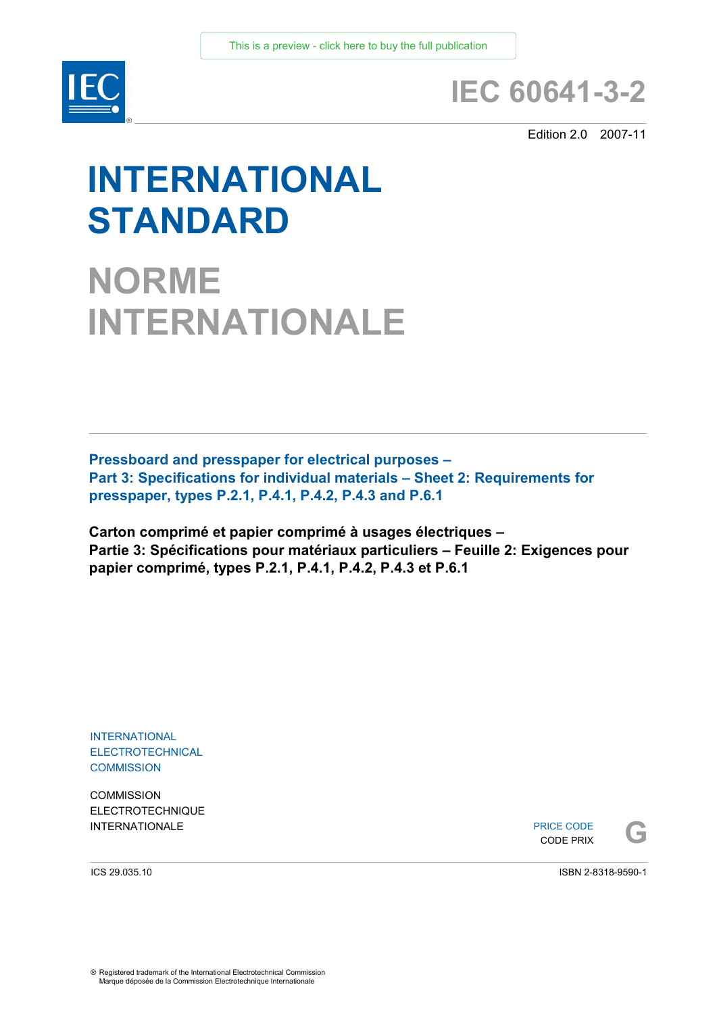

## **IEC 60641-3-2**

Edition 2.0 2007-11

# **INTERNATIONAL STANDARD**

**NORME INTERNATIONALE**

**Pressboard and presspaper for electrical purposes – Part 3: Specifications for individual materials – Sheet 2: Requirements for presspaper, types P.2.1, P.4.1, P.4.2, P.4.3 and P.6.1** 

**Carton comprimé et papier comprimé à usages électriques – Partie 3: Spécifications pour matériaux particuliers – Feuille 2: Exigences pour papier comprimé, types P.2.1, P.4.1, P.4.2, P.4.3 et P.6.1** 

INTERNATIONAL ELECTROTECHNICAL **COMMISSION** 

**COMMISSION** ELECTROTECHNIQUE

INTERNATIONALE PRICE CODE PRICE CODE PRICE CODE PRICE CODE PRIX PRICE CODE CODE PRIX



ICS 29.035.10

ISBN 2-8318-9590-1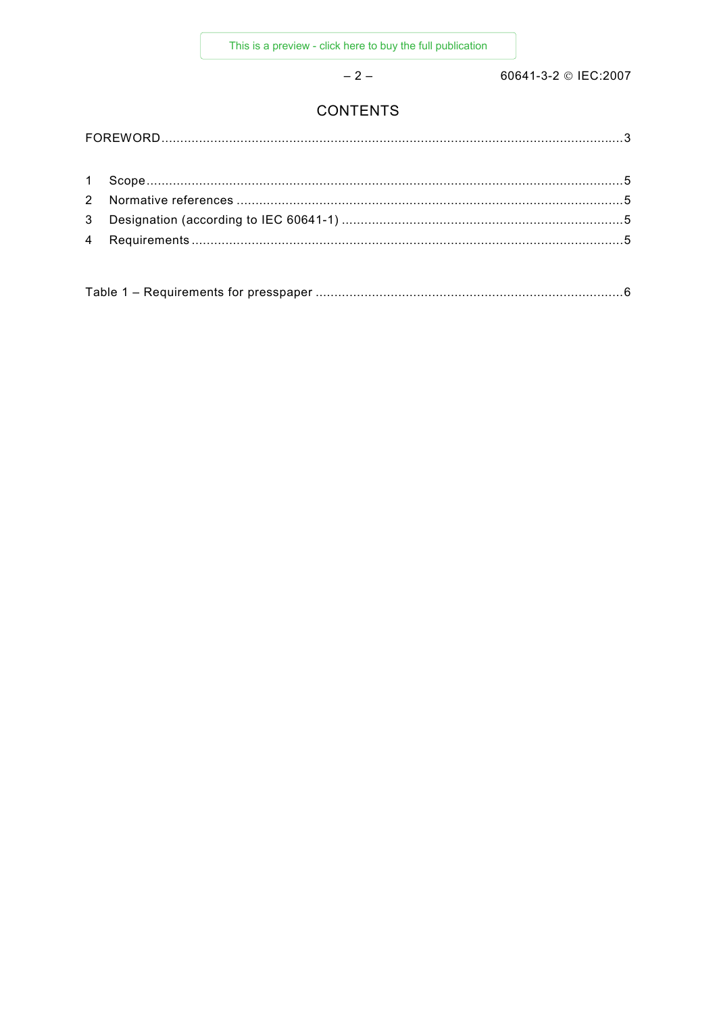$-2-$ 

60641-3-2 © IEC:2007

## **CONTENTS**

|--|--|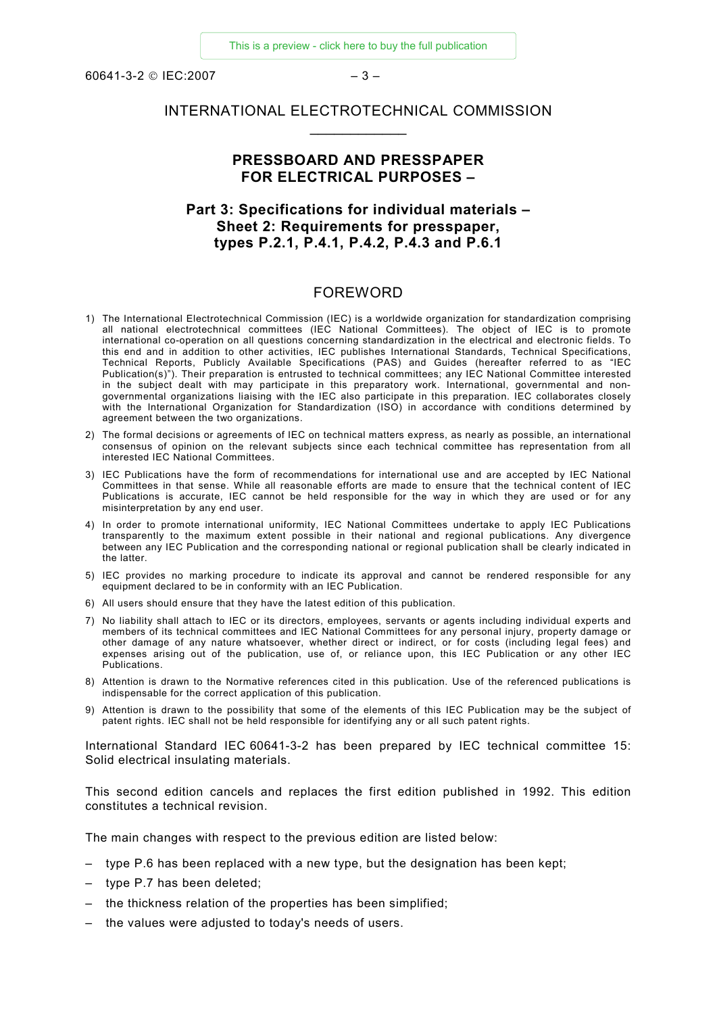<span id="page-2-0"></span>60641-3-2 © IFC:2007 – 3 –

#### INTERNATIONAL ELECTROTECHNICAL COMMISSION  $\frac{1}{2}$  ,  $\frac{1}{2}$  ,  $\frac{1}{2}$  ,  $\frac{1}{2}$  ,  $\frac{1}{2}$  ,  $\frac{1}{2}$

#### **PRESSBOARD AND PRESSPAPER FOR ELECTRICAL PURPOSES –**

#### **Part 3: Specifications for individual materials – Sheet 2: Requirements for presspaper, types P.2.1, P.4.1, P.4.2, P.4.3 and P.6.1**

#### FOREWORD

- 1) The International Electrotechnical Commission (IEC) is a worldwide organization for standardization comprising all national electrotechnical committees (IEC National Committees). The object of IEC is to promote international co-operation on all questions concerning standardization in the electrical and electronic fields. To this end and in addition to other activities, IEC publishes International Standards, Technical Specifications, Technical Reports, Publicly Available Specifications (PAS) and Guides (hereafter referred to as "IEC Publication(s)"). Their preparation is entrusted to technical committees; any IEC National Committee interested in the subject dealt with may participate in this preparatory work. International, governmental and nongovernmental organizations liaising with the IEC also participate in this preparation. IEC collaborates closely with the International Organization for Standardization (ISO) in accordance with conditions determined by agreement between the two organizations.
- 2) The formal decisions or agreements of IEC on technical matters express, as nearly as possible, an international consensus of opinion on the relevant subjects since each technical committee has representation from all interested IEC National Committees.
- 3) IEC Publications have the form of recommendations for international use and are accepted by IEC National Committees in that sense. While all reasonable efforts are made to ensure that the technical content of IEC Publications is accurate, IEC cannot be held responsible for the way in which they are used or for any misinterpretation by any end user.
- 4) In order to promote international uniformity, IEC National Committees undertake to apply IEC Publications transparently to the maximum extent possible in their national and regional publications. Any divergence between any IEC Publication and the corresponding national or regional publication shall be clearly indicated in the latter.
- 5) IEC provides no marking procedure to indicate its approval and cannot be rendered responsible for any equipment declared to be in conformity with an IEC Publication.
- 6) All users should ensure that they have the latest edition of this publication.
- 7) No liability shall attach to IEC or its directors, employees, servants or agents including individual experts and members of its technical committees and IEC National Committees for any personal injury, property damage or other damage of any nature whatsoever, whether direct or indirect, or for costs (including legal fees) and expenses arising out of the publication, use of, or reliance upon, this IEC Publication or any other IEC Publications.
- 8) Attention is drawn to the Normative references cited in this publication. Use of the referenced publications is indispensable for the correct application of this publication.
- 9) Attention is drawn to the possibility that some of the elements of this IEC Publication may be the subject of patent rights. IEC shall not be held responsible for identifying any or all such patent rights.

International Standard IEC 60641-3-2 has been prepared by IEC technical committee 15: Solid electrical insulating materials.

This second edition cancels and replaces the first edition published in 1992. This edition constitutes a technical revision.

The main changes with respect to the previous edition are listed below:

- type P.6 has been replaced with a new type, but the designation has been kept;
- type P.7 has been deleted;
- the thickness relation of the properties has been simplified;
- the values were adjusted to today's needs of users.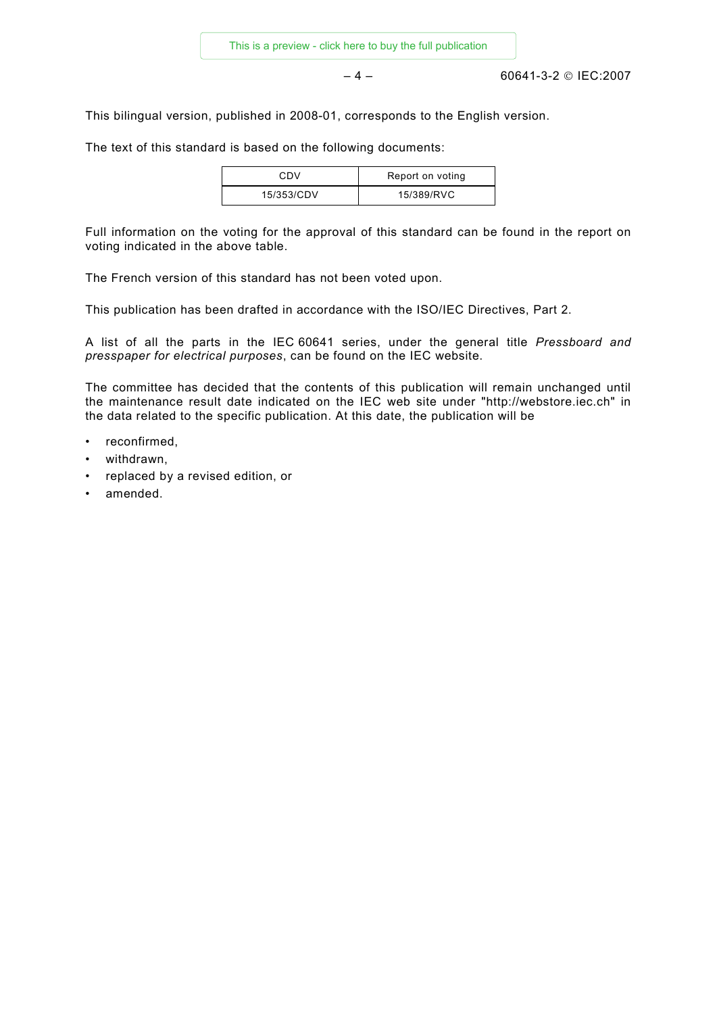– 4 – 60641-3-2 © IEC:2007

This bilingual version, published in 2008-01, corresponds to the English version.

The text of this standard is based on the following documents:

| CDV        | Report on voting |
|------------|------------------|
| 15/353/CDV | 15/389/RVC       |

Full information on the voting for the approval of this standard can be found in the report on voting indicated in the above table.

The French version of this standard has not been voted upon.

This publication has been drafted in accordance with the ISO/IEC Directives, Part 2.

A list of all the parts in the IEC 60641 series, under the general title *Pressboard and presspaper for electrical purposes*, can be found on the IEC website.

The committee has decided that the contents of this publication will remain unchanged until the maintenance result date indicated on the IEC web site under "http://webstore.iec.ch" in the data related to the specific publication. At this date, the publication will be

- reconfirmed,
- withdrawn,
- replaced by a revised edition, or
- amended.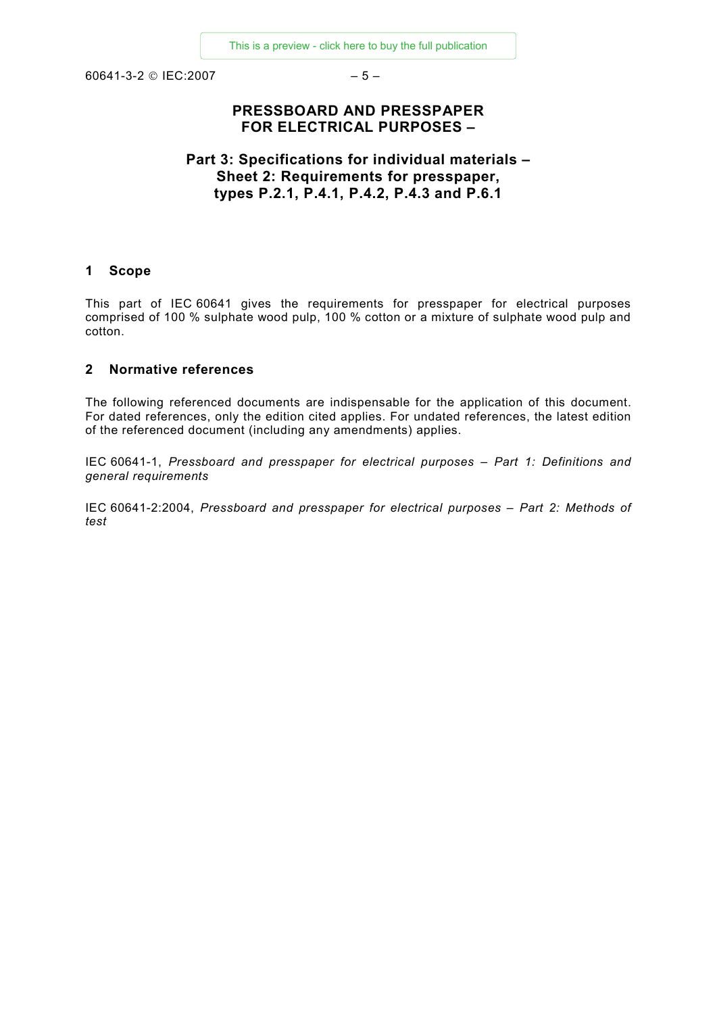<span id="page-4-0"></span>60641-3-2 © IEC:2007 – 5 –

#### **PRESSBOARD AND PRESSPAPER FOR ELECTRICAL PURPOSES –**

#### **Part 3: Specifications for individual materials – Sheet 2: Requirements for presspaper, types P.2.1, P.4.1, P.4.2, P.4.3 and P.6.1**

#### **1 Scope**

This part of IEC 60641 gives the requirements for presspaper for electrical purposes comprised of 100 % sulphate wood pulp, 100 % cotton or a mixture of sulphate wood pulp and cotton.

#### **2 Normative references**

The following referenced documents are indispensable for the application of this document. For dated references, only the edition cited applies. For undated references, the latest edition of the referenced document (including any amendments) applies.

IEC 60641-1, *Pressboard and presspaper for electrical purposes – Part 1: Definitions and general requirements*

IEC 60641-2:2004, *Pressboard and presspaper for electrical purposes – Part 2: Methods of test*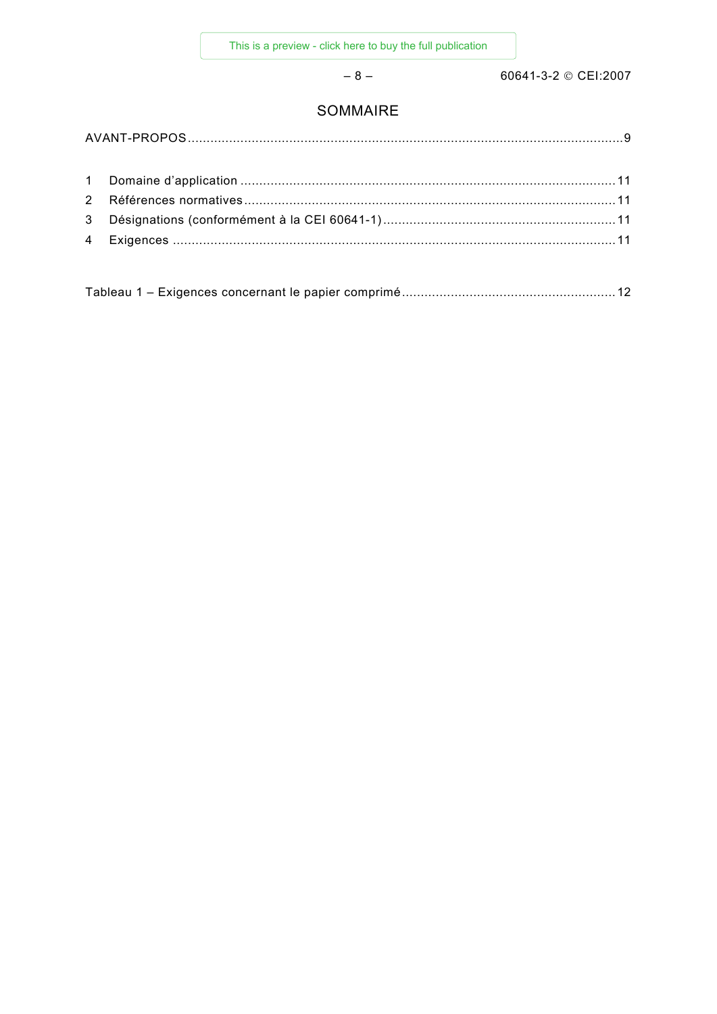$-8-$ 

60641-3-2 © CEI:2007

### SOMMAIRE

|--|

|--|--|--|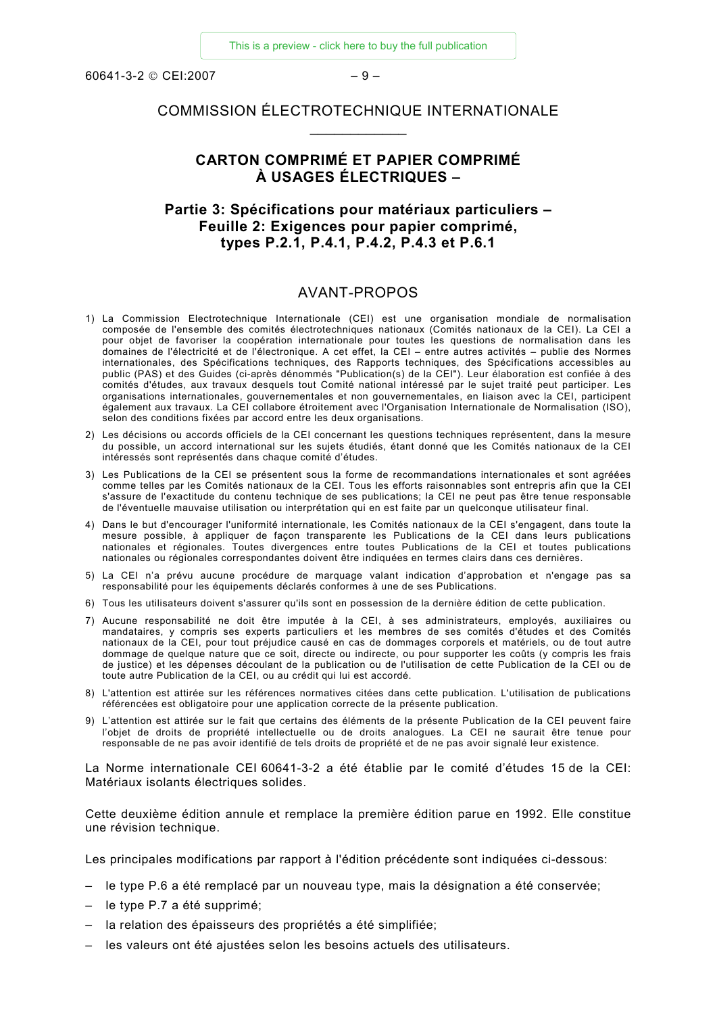<span id="page-6-0"></span> $60641 - 3 - 2 \odot CF1.2007$  – 9 –

#### COMMISSION ÉLECTROTECHNIQUE INTERNATIONALE  $\frac{1}{2}$  ,  $\frac{1}{2}$  ,  $\frac{1}{2}$  ,  $\frac{1}{2}$  ,  $\frac{1}{2}$  ,  $\frac{1}{2}$

#### **CARTON COMPRIMÉ ET PAPIER COMPRIMÉ À USAGES ÉLECTRIQUES –**

#### **Partie 3: Spécifications pour matériaux particuliers – Feuille 2: Exigences pour papier comprimé, types P.2.1, P.4.1, P.4.2, P.4.3 et P.6.1**

#### AVANT-PROPOS

- 1) La Commission Electrotechnique Internationale (CEI) est une organisation mondiale de normalisation composée de l'ensemble des comités électrotechniques nationaux (Comités nationaux de la CEI). La CEI a pour objet de favoriser la coopération internationale pour toutes les questions de normalisation dans les domaines de l'électricité et de l'électronique. A cet effet, la CEI – entre autres activités – publie des Normes internationales, des Spécifications techniques, des Rapports techniques, des Spécifications accessibles au public (PAS) et des Guides (ci-après dénommés "Publication(s) de la CEI"). Leur élaboration est confiée à des comités d'études, aux travaux desquels tout Comité national intéressé par le sujet traité peut participer. Les organisations internationales, gouvernementales et non gouvernementales, en liaison avec la CEI, participent également aux travaux. La CEI collabore étroitement avec l'Organisation Internationale de Normalisation (ISO), selon des conditions fixées par accord entre les deux organisations.
- 2) Les décisions ou accords officiels de la CEI concernant les questions techniques représentent, dans la mesure du possible, un accord international sur les sujets étudiés, étant donné que les Comités nationaux de la CEI intéressés sont représentés dans chaque comité d'études.
- 3) Les Publications de la CEI se présentent sous la forme de recommandations internationales et sont agréées comme telles par les Comités nationaux de la CEI. Tous les efforts raisonnables sont entrepris afin que la CEI s'assure de l'exactitude du contenu technique de ses publications; la CEI ne peut pas être tenue responsable de l'éventuelle mauvaise utilisation ou interprétation qui en est faite par un quelconque utilisateur final.
- 4) Dans le but d'encourager l'uniformité internationale, les Comités nationaux de la CEI s'engagent, dans toute la mesure possible, à appliquer de façon transparente les Publications de la CEI dans leurs publications nationales et régionales. Toutes divergences entre toutes Publications de la CEI et toutes publications nationales ou régionales correspondantes doivent être indiquées en termes clairs dans ces dernières.
- 5) La CEI n'a prévu aucune procédure de marquage valant indication d'approbation et n'engage pas sa responsabilité pour les équipements déclarés conformes à une de ses Publications.
- 6) Tous les utilisateurs doivent s'assurer qu'ils sont en possession de la dernière édition de cette publication.
- 7) Aucune responsabilité ne doit être imputée à la CEI, à ses administrateurs, employés, auxiliaires ou mandataires, y compris ses experts particuliers et les membres de ses comités d'études et des Comités nationaux de la CEI, pour tout préjudice causé en cas de dommages corporels et matériels, ou de tout autre dommage de quelque nature que ce soit, directe ou indirecte, ou pour supporter les coûts (y compris les frais de justice) et les dépenses découlant de la publication ou de l'utilisation de cette Publication de la CEI ou de toute autre Publication de la CEI, ou au crédit qui lui est accordé.
- 8) L'attention est attirée sur les références normatives citées dans cette publication. L'utilisation de publications référencées est obligatoire pour une application correcte de la présente publication.
- 9) L'attention est attirée sur le fait que certains des éléments de la présente Publication de la CEI peuvent faire l'objet de droits de propriété intellectuelle ou de droits analogues. La CEI ne saurait être tenue pour responsable de ne pas avoir identifié de tels droits de propriété et de ne pas avoir signalé leur existence.

La Norme internationale CEI 60641-3-2 a été établie par le comité d'études 15 de la CEI: Matériaux isolants électriques solides.

Cette deuxième édition annule et remplace la première édition parue en 1992. Elle constitue une révision technique.

Les principales modifications par rapport à l'édition précédente sont indiquées ci-dessous:

- le type P.6 a été remplacé par un nouveau type, mais la désignation a été conservée;
- le type P.7 a été supprimé;
- la relation des épaisseurs des propriétés a été simplifiée;
- les valeurs ont été ajustées selon les besoins actuels des utilisateurs.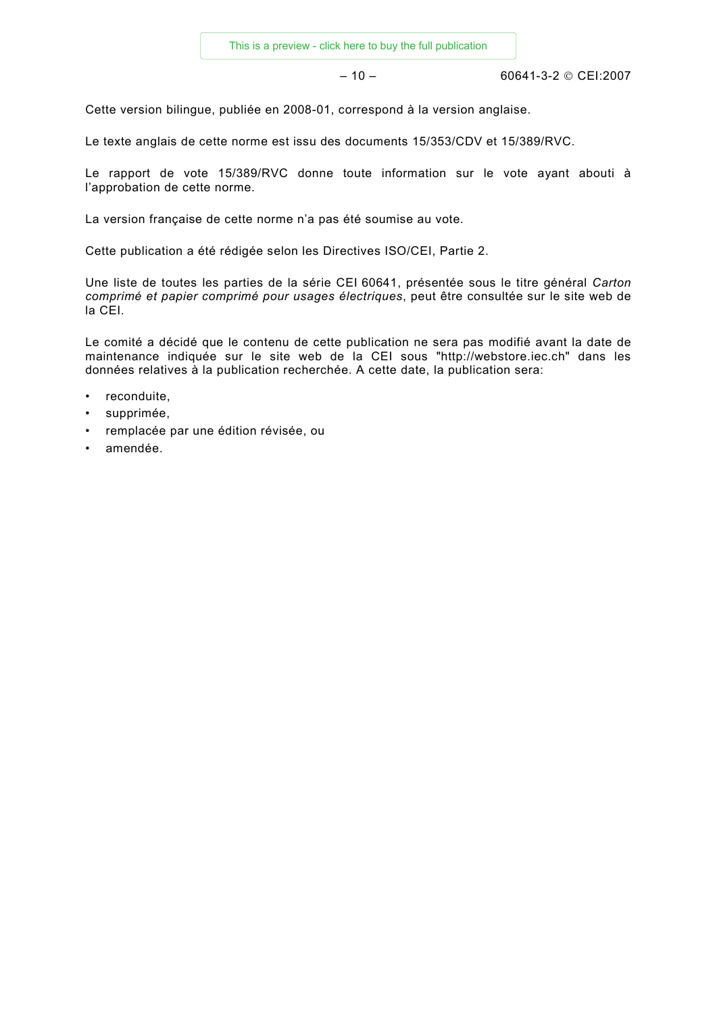– 10 – 60641-3-2 © CEI:2007

Cette version bilingue, publiée en 2008-01, correspond à la version anglaise.

Le texte anglais de cette norme est issu des documents 15/353/CDV et 15/389/RVC.

Le rapport de vote 15/389/RVC donne toute information sur le vote ayant abouti à l'approbation de cette norme.

La version française de cette norme n'a pas été soumise au vote.

Cette publication a été rédigée selon les Directives ISO/CEI, Partie 2.

Une liste de toutes les parties de la série CEI 60641, présentée sous le titre général *Carton comprimé et papier comprimé pour usages électriques*, peut être consultée sur le site web de la CEI.

Le comité a décidé que le contenu de cette publication ne sera pas modifié avant la date de maintenance indiquée sur le site web de la CEI sous "http://webstore.iec.ch" dans les données relatives à la publication recherchée. A cette date, la publication sera:

- reconduite,
- supprimée,
- remplacée par une édition révisée, ou
- amendée.